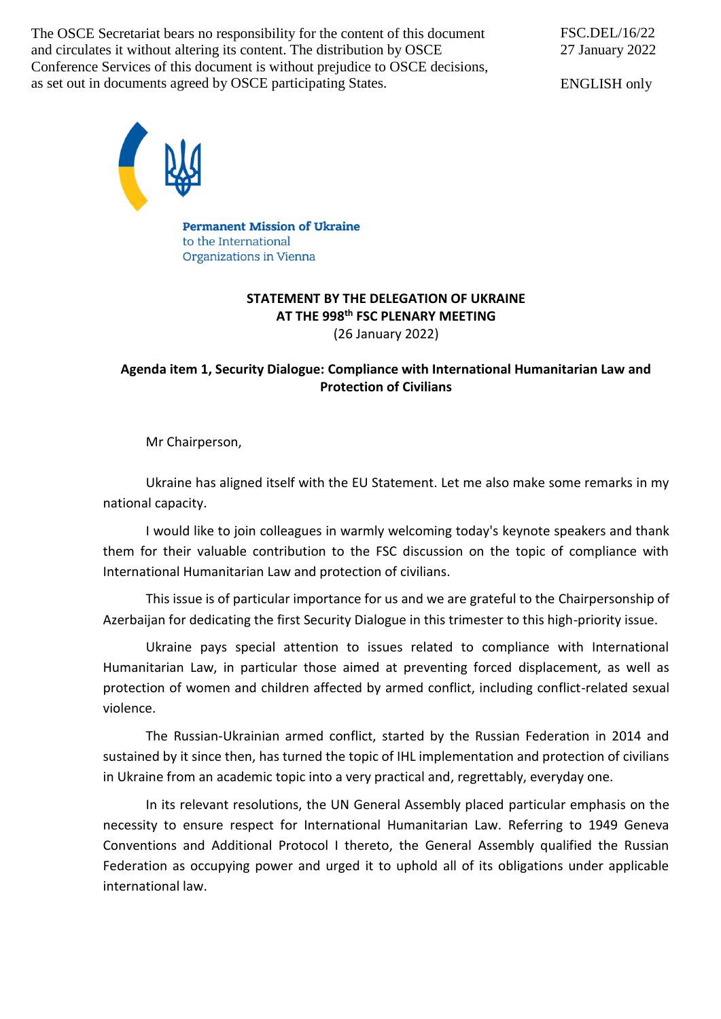The OSCE Secretariat bears no responsibility for the content of this document and circulates it without altering its content. The distribution by OSCE Conference Services of this document is without prejudice to OSCE decisions, as set out in documents agreed by OSCE participating States.

ENGLISH only



**Permanent Mission of Ukraine** to the International Organizations in Vienna

## **STATEMENT BY THE DELEGATION OF UKRAINE AT THE 998 th FSC PLENARY MEETING** (26 January 2022)

## **Agenda item 1, Security Dialogue: Compliance with International Humanitarian Law and Protection of Civilians**

Mr Chairperson,

Ukraine has aligned itself with the EU Statement. Let me also make some remarks in my national capacity.

I would like to join colleagues in warmly welcoming today's keynote speakers and thank them for their valuable contribution to the FSC discussion on the topic of compliance with International Humanitarian Law and protection of civilians.

This issue is of particular importance for us and we are grateful to the Chairpersonship of Azerbaijan for dedicating the first Security Dialogue in this trimester to this high-priority issue.

Ukraine pays special attention to issues related to compliance with International Humanitarian Law, in particular those aimed at preventing forced displacement, as well as protection of women and children affected by armed conflict, including conflict-related sexual violence.

The Russian-Ukrainian armed conflict, started by the Russian Federation in 2014 and sustained by it since then, has turned the topic of IHL implementation and protection of civilians in Ukraine from an academic topic into a very practical and, regrettably, everyday one.

In its relevant resolutions, the UN General Assembly placed particular emphasis on the necessity to ensure respect for International Humanitarian Law. Referring to 1949 Geneva Conventions and Additional Protocol I thereto, the General Assembly qualified the Russian Federation as occupying power and urged it to uphold all of its obligations under applicable international law.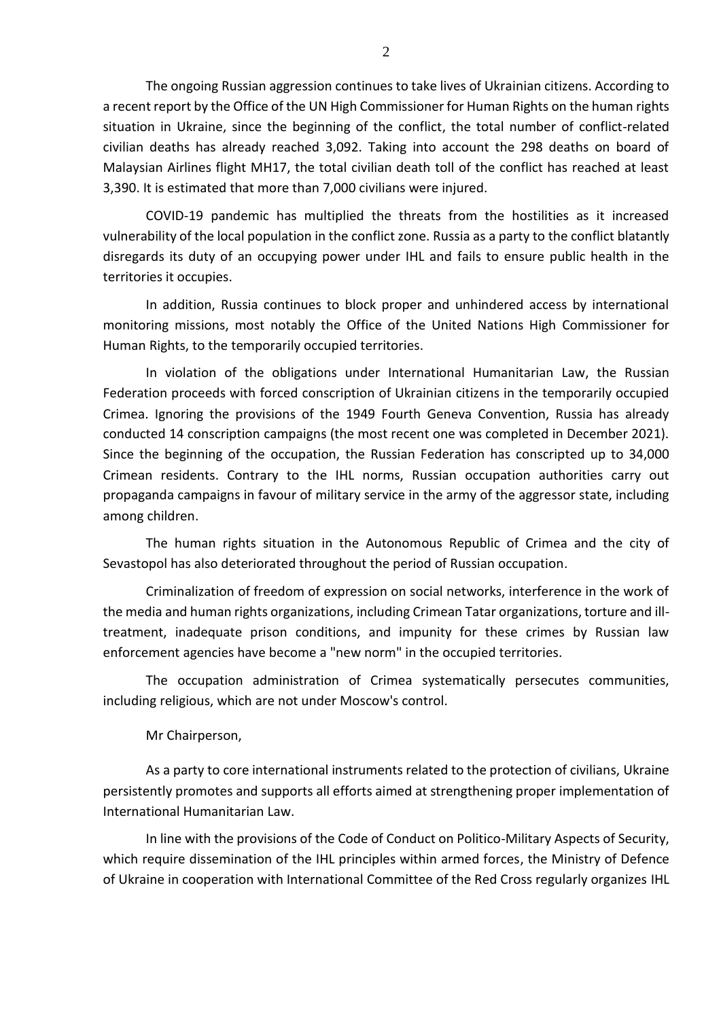The ongoing Russian aggression continues to take lives of Ukrainian citizens. According to a recent report by the Office of the UN High Commissioner for Human Rights on the human rights situation in Ukraine, since the beginning of the conflict, the total number of conflict-related civilian deaths has already reached 3,092. Taking into account the 298 deaths on board of Malaysian Airlines flight MH17, the total civilian death toll of the conflict has reached at least 3,390. It is estimated that more than 7,000 civilians were injured.

COVID-19 pandemic has multiplied the threats from the hostilities as it increased vulnerability of the local population in the conflict zone. Russia as a party to the conflict blatantly disregards its duty of an occupying power under IHL and fails to ensure public health in the territories it occupies.

In addition, Russia continues to block proper and unhindered access by international monitoring missions, most notably the Office of the United Nations High Commissioner for Human Rights, to the temporarily occupied territories.

In violation of the obligations under International Humanitarian Law, the Russian Federation proceeds with forced conscription of Ukrainian citizens in the temporarily occupied Crimea. Ignoring the provisions of the 1949 Fourth Geneva Convention, Russia has already conducted 14 conscription campaigns (the most recent one was completed in December 2021). Since the beginning of the occupation, the Russian Federation has conscripted up to 34,000 Crimean residents. Contrary to the IHL norms, Russian occupation authorities carry out propaganda campaigns in favour of military service in the army of the aggressor state, including among children.

The human rights situation in the Autonomous Republic of Crimea and the city of Sevastopol has also deteriorated throughout the period of Russian occupation.

Criminalization of freedom of expression on social networks, interference in the work of the media and human rights organizations, including Crimean Tatar organizations, torture and illtreatment, inadequate prison conditions, and impunity for these crimes by Russian law enforcement agencies have become a "new norm" in the occupied territories.

The occupation administration of Crimea systematically persecutes communities, including religious, which are not under Moscow's control.

Mr Chairperson,

As a party to core international instruments related to the protection of civilians, Ukraine persistently promotes and supports all efforts aimed at strengthening proper implementation of International Humanitarian Law.

In line with the provisions of the Code of Conduct on Politico-Military Aspects of Security, which require dissemination of the IHL principles within armed forces, the Ministry of Defence of Ukraine in cooperation with International Committee of the Red Cross regularly organizes IHL